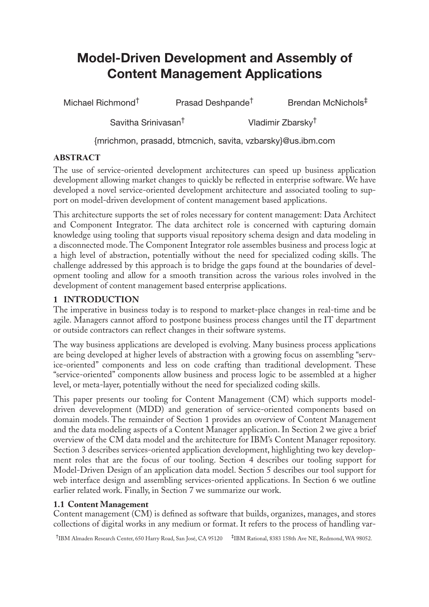# **Model-Driven Development and Assembly of Content Management Applications**

Michael Richmond<sup>†</sup> Prasad Deshpande<sup>†</sup> Brendan McNichols<sup>‡</sup>

Savitha Srinivasan<sup>†</sup> Vladimir Zbarsky<sup>†</sup>

{mrichmon, prasadd, btmcnich, savita, vzbarsky}@us.ibm.com

# **ABSTRACT**

The use of service-oriented development architectures can speed up business application development allowing market changes to quickly be reflected in enterprise software. We have developed a novel service-oriented development architecture and associated tooling to support on model-driven development of content management based applications.

This architecture supports the set of roles necessary for content management: Data Architect and Component Integrator. The data architect role is concerned with capturing domain knowledge using tooling that supports visual repository schema design and data modeling in a disconnected mode. The Component Integrator role assembles business and process logic at a high level of abstraction, potentially without the need for specialized coding skills. The challenge addressed by this approach is to bridge the gaps found at the boundaries of development tooling and allow for a smooth transition across the various roles involved in the development of content management based enterprise applications.

# <span id="page-0-0"></span>**1 INTRODUCTION**

The imperative in business today is to respond to market-place changes in real-time and be agile. Managers cannot afford to postpone business process changes until the IT department or outside contractors can reflect changes in their software systems.

The way business applications are developed is evolving. Many business process applications are being developed at higher levels of abstraction with a growing focus on assembling "service-oriented" components and less on code crafting than traditional development. These "service-oriented" components allow business and process logic to be assembled at a higher level, or meta-layer, potentially without the need for specialized coding skills.

This paper presents our tooling for Content Management (CM) which supports modeldriven devevelopment (MDD) and generation of service-oriented components based on domain models. The remainder of [Section 1](#page-0-0) provides an overview of Content Management and the data modeling aspects of a Content Manager application. In [Section 2](#page-2-0) we give a brief overview of the CM data model and the architecture for IBM's Content Manager repository. [Section 3](#page-3-0) describes services-oriented application development, highlighting two key development roles that are the focus of our tooling. [Section 4](#page-5-0) describes our tooling support for Model-Driven Design of an application data model. [Section 5](#page-8-0) describes our tool support for web interface design and assembling services-oriented applications. In [Section 6](#page-10-0) we outline earlier related work. Finally, in [Section 7](#page-11-0) we summarize our work.

# **1.1 Content Management**

Content management (CM) is defined as software that builds, organizes, manages, and stores collections of digital works in any medium or format. It refers to the process of handling var-

†IBM Almaden Research Center, 650 Harry Road, San José, CA 95120 ‡IBM Rational, 8383 158th Ave NE, Redmond, WA 98052.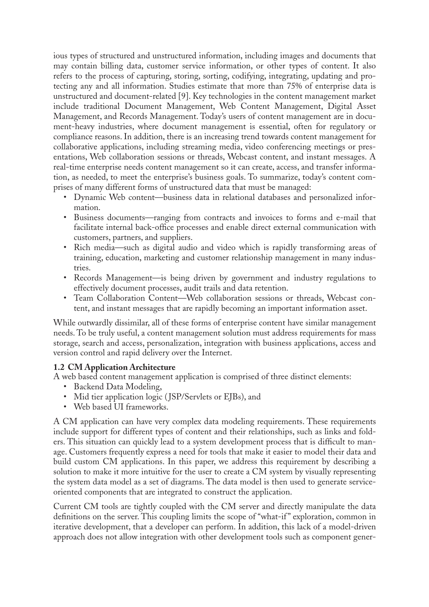ious types of structured and unstructured information, including images and documents that may contain billing data, customer service information, or other types of content. It also refers to the process of capturing, storing, sorting, codifying, integrating, updating and protecting any and all information. Studies estimate that more than 75% of enterprise data is unstructured and document-related [\[9\].](#page-13-0) Key technologies in the content management market include traditional Document Management, Web Content Management, Digital Asset Management, and Records Management. Today's users of content management are in document-heavy industries, where document management is essential, often for regulatory or compliance reasons. In addition, there is an increasing trend towards content management for collaborative applications, including streaming media, video conferencing meetings or presentations, Web collaboration sessions or threads, Webcast content, and instant messages. A real-time enterprise needs content management so it can create, access, and transfer information, as needed, to meet the enterprise's business goals. To summarize, today's content comprises of many different forms of unstructured data that must be managed:

- Dynamic Web content—business data in relational databases and personalized information.
- Business documents—ranging from contracts and invoices to forms and e-mail that facilitate internal back-office processes and enable direct external communication with customers, partners, and suppliers.
- Rich media—such as digital audio and video which is rapidly transforming areas of training, education, marketing and customer relationship management in many industries.
- Records Management—is being driven by government and industry regulations to effectively document processes, audit trails and data retention.
- Team Collaboration Content—Web collaboration sessions or threads, Webcast content, and instant messages that are rapidly becoming an important information asset.

While outwardly dissimilar, all of these forms of enterprise content have similar management needs. To be truly useful, a content management solution must address requirements for mass storage, search and access, personalization, integration with business applications, access and version control and rapid delivery over the Internet.

#### **1.2 CM Application Architecture**

- A web based content management application is comprised of three distinct elements:
	- Backend Data Modeling,
	- Mid tier application logic (JSP/Servlets or EJBs), and
	- Web based UI frameworks.

A CM application can have very complex data modeling requirements. These requirements include support for different types of content and their relationships, such as links and folders. This situation can quickly lead to a system development process that is difficult to manage. Customers frequently express a need for tools that make it easier to model their data and build custom CM applications. In this paper, we address this requirement by describing a solution to make it more intuitive for the user to create a CM system by visually representing the system data model as a set of diagrams. The data model is then used to generate serviceoriented components that are integrated to construct the application.

Current CM tools are tightly coupled with the CM server and directly manipulate the data definitions on the server. This coupling limits the scope of "what-if " exploration, common in iterative development, that a developer can perform. In addition, this lack of a model-driven approach does not allow integration with other development tools such as component gener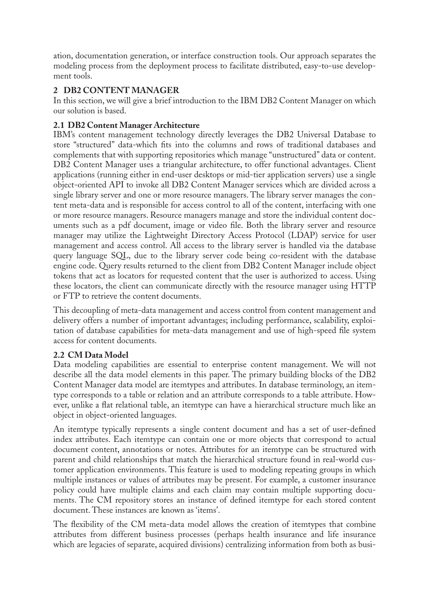ation, documentation generation, or interface construction tools. Our approach separates the modeling process from the deployment process to facilitate distributed, easy-to-use development tools.

# <span id="page-2-0"></span>**2 DB2 CONTENT MANAGER**

In this section, we will give a brief introduction to the IBM DB2 Content Manager on which our solution is based.

# <span id="page-2-1"></span>**2.1 DB2 Content Manager Architecture**

IBM's content management technology directly leverages the DB2 Universal Database to store "structured" data-which fits into the columns and rows of traditional databases and complements that with supporting repositories which manage "unstructured" data or content. DB2 Content Manager uses a triangular architecture, to offer functional advantages. Client applications (running either in end-user desktops or mid-tier application servers) use a single object-oriented API to invoke all DB2 Content Manager services which are divided across a single library server and one or more resource managers. The library server manages the content meta-data and is responsible for access control to all of the content, interfacing with one or more resource managers. Resource managers manage and store the individual content documents such as a pdf document, image or video file. Both the library server and resource manager may utilize the Lightweight Directory Access Protocol (LDAP) service for user management and access control. All access to the library server is handled via the database query language SQL, due to the library server code being co-resident with the database engine code. Query results returned to the client from DB2 Content Manager include object tokens that act as locators for requested content that the user is authorized to access. Using these locators, the client can communicate directly with the resource manager using HTTP or FTP to retrieve the content documents.

This decoupling of meta-data management and access control from content management and delivery offers a number of important advantages; including performance, scalability, exploitation of database capabilities for meta-data management and use of high-speed file system access for content documents.

# **2.2 CM Data Model**

Data modeling capabilities are essential to enterprise content management. We will not describe all the data model elements in this paper. The primary building blocks of the DB2 Content Manager data model are itemtypes and attributes. In database terminology, an itemtype corresponds to a table or relation and an attribute corresponds to a table attribute. However, unlike a flat relational table, an itemtype can have a hierarchical structure much like an object in object-oriented languages.

An itemtype typically represents a single content document and has a set of user-defined index attributes. Each itemtype can contain one or more objects that correspond to actual document content, annotations or notes. Attributes for an itemtype can be structured with parent and child relationships that match the hierarchical structure found in real-world customer application environments. This feature is used to modeling repeating groups in which multiple instances or values of attributes may be present. For example, a customer insurance policy could have multiple claims and each claim may contain multiple supporting documents. The CM repository stores an instance of defined itemtype for each stored content document. These instances are known as 'items'.

The flexibility of the CM meta-data model allows the creation of itemtypes that combine attributes from different business processes (perhaps health insurance and life insurance which are legacies of separate, acquired divisions) centralizing information from both as busi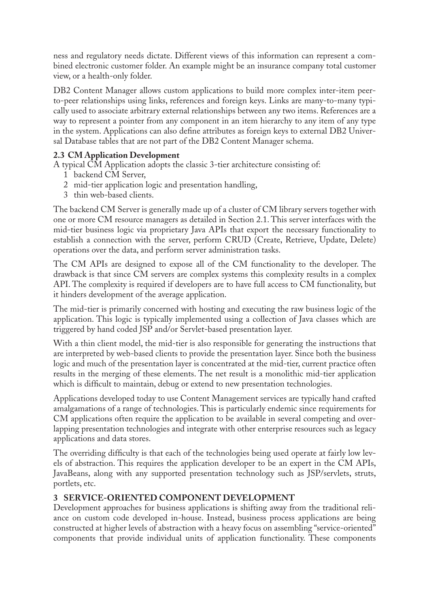ness and regulatory needs dictate. Different views of this information can represent a combined electronic customer folder. An example might be an insurance company total customer view, or a health-only folder.

DB2 Content Manager allows custom applications to build more complex inter-item peerto-peer relationships using links, references and foreign keys. Links are many-to-many typically used to associate arbitrary external relationships between any two items. References are a way to represent a pointer from any component in an item hierarchy to any item of any type in the system. Applications can also define attributes as foreign keys to external DB2 Universal Database tables that are not part of the DB2 Content Manager schema.

# **2.3 CM Application Development**

A typical CM Application adopts the classic 3-tier architecture consisting of:

- 1 backend CM Server,
- 2 mid-tier application logic and presentation handling,
- 3 thin web-based clients.

The backend CM Server is generally made up of a cluster of CM library servers together with one or more CM resource managers as detailed in [Section 2.1](#page-2-1). This server interfaces with the mid-tier business logic via proprietary Java APIs that export the necessary functionality to establish a connection with the server, perform CRUD (Create, Retrieve, Update, Delete) operations over the data, and perform server administration tasks.

The CM APIs are designed to expose all of the CM functionality to the developer. The drawback is that since CM servers are complex systems this complexity results in a complex API. The complexity is required if developers are to have full access to CM functionality, but it hinders development of the average application.

The mid-tier is primarily concerned with hosting and executing the raw business logic of the application. This logic is typically implemented using a collection of Java classes which are triggered by hand coded JSP and/or Servlet-based presentation layer.

With a thin client model, the mid-tier is also responsible for generating the instructions that are interpreted by web-based clients to provide the presentation layer. Since both the business logic and much of the presentation layer is concentrated at the mid-tier, current practice often results in the merging of these elements. The net result is a monolithic mid-tier application which is difficult to maintain, debug or extend to new presentation technologies.

Applications developed today to use Content Management services are typically hand crafted amalgamations of a range of technologies. This is particularly endemic since requirements for CM applications often require the application to be available in several competing and overlapping presentation technologies and integrate with other enterprise resources such as legacy applications and data stores.

The overriding difficulty is that each of the technologies being used operate at fairly low levels of abstraction. This requires the application developer to be an expert in the CM APIs, JavaBeans, along with any supported presentation technology such as JSP/servlets, struts, portlets, etc.

# <span id="page-3-0"></span>**3 SERVICE-ORIENTED COMPONENT DEVELOPMENT**

Development approaches for business applications is shifting away from the traditional reliance on custom code developed in-house. Instead, business process applications are being constructed at higher levels of abstraction with a heavy focus on assembling "service-oriented" components that provide individual units of application functionality. These components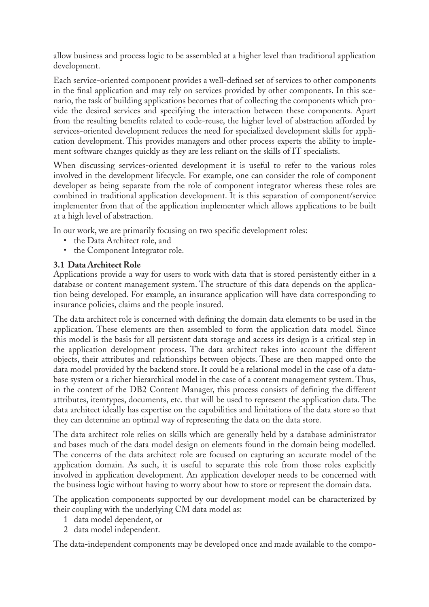allow business and process logic to be assembled at a higher level than traditional application development.

Each service-oriented component provides a well-defined set of services to other components in the final application and may rely on services provided by other components. In this scenario, the task of building applications becomes that of collecting the components which provide the desired services and specifying the interaction between these components. Apart from the resulting benefits related to code-reuse, the higher level of abstraction afforded by services-oriented development reduces the need for specialized development skills for application development. This provides managers and other process experts the ability to implement software changes quickly as they are less reliant on the skills of IT specialists.

When discussing services-oriented development it is useful to refer to the various roles involved in the development lifecycle. For example, one can consider the role of component developer as being separate from the role of component integrator whereas these roles are combined in traditional application development. It is this separation of component/service implementer from that of the application implementer which allows applications to be built at a high level of abstraction.

In our work, we are primarily focusing on two specific development roles:

- the Data Architect role, and
- the Component Integrator role.

#### <span id="page-4-0"></span>**3.1 Data Architect Role**

Applications provide a way for users to work with data that is stored persistently either in a database or content management system. The structure of this data depends on the application being developed. For example, an insurance application will have data corresponding to insurance policies, claims and the people insured.

The data architect role is concerned with defining the domain data elements to be used in the application. These elements are then assembled to form the application data model. Since this model is the basis for all persistent data storage and access its design is a critical step in the application development process. The data architect takes into account the different objects, their attributes and relationships between objects. These are then mapped onto the data model provided by the backend store. It could be a relational model in the case of a database system or a richer hierarchical model in the case of a content management system. Thus, in the context of the DB2 Content Manager, this process consists of defining the different attributes, itemtypes, documents, etc. that will be used to represent the application data. The data architect ideally has expertise on the capabilities and limitations of the data store so that they can determine an optimal way of representing the data on the data store.

The data architect role relies on skills which are generally held by a database administrator and bases much of the data model design on elements found in the domain being modelled. The concerns of the data architect role are focused on capturing an accurate model of the application domain. As such, it is useful to separate this role from those roles explicitly involved in application development. An application developer needs to be concerned with the business logic without having to worry about how to store or represent the domain data.

The application components supported by our development model can be characterized by their coupling with the underlying CM data model as:

- 1 data model dependent, or
- 2 data model independent.

The data-independent components may be developed once and made available to the compo-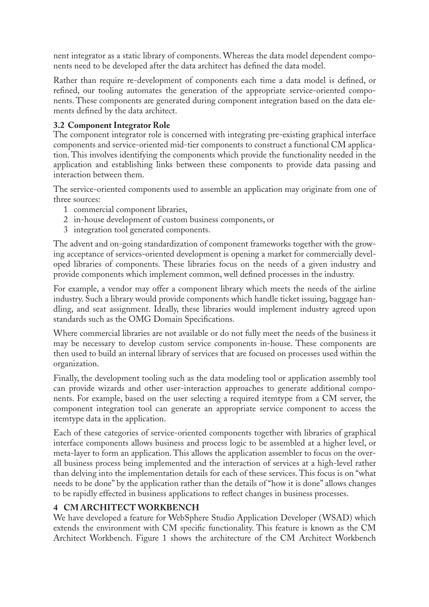nent integrator as a static library of components. Whereas the data model dependent components need to be developed after the data architect has defined the data model.

Rather than require re-development of components each time a data model is defined, or refined, our tooling automates the generation of the appropriate service-oriented components. These components are generated during component integration based on the data elements defined by the data architect.

#### <span id="page-5-1"></span>**3.2 Component Integrator Role**

The component integrator role is concerned with integrating pre-existing graphical interface components and service-oriented mid-tier components to construct a functional CM application. This involves identifying the components which provide the functionality needed in the application and establishing links between these components to provide data passing and interaction between them.

The service-oriented components used to assemble an application may originate from one of three sources:

- 1 commercial component libraries,
- 2 in-house development of custom business components, or
- 3 integration tool generated components.

The advent and on-going standardization of component frameworks together with the growing acceptance of services-oriented development is opening a market for commercially developed libraries of components. These libraries focus on the needs of a given industry and provide components which implement common, well defined processes in the industry.

For example, a vendor may offer a component library which meets the needs of the airline industry. Such a library would provide components which handle ticket issuing, baggage handling, and seat assignment. Ideally, these libraries would implement industry agreed upon standards such as the OMG Domain Specifications.

Where commercial libraries are not available or do not fully meet the needs of the business it may be necessary to develop custom service components in-house. These components are then used to build an internal library of services that are focused on processes used within the organization.

Finally, the development tooling such as the data modeling tool or application assembly tool can provide wizards and other user-interaction approaches to generate additional components. For example, based on the user selecting a required itemtype from a CM server, the component integration tool can generate an appropriate service component to access the itemtype data in the application.

Each of these categories of service-oriented components together with libraries of graphical interface components allows business and process logic to be assembled at a higher level, or meta-layer to form an application. This allows the application assembler to focus on the overall business process being implemented and the interaction of services at a high-level rather than delving into the implementation details for each of these services. This focus is on "what needs to be done" by the application rather than the details of "how it is done" allows changes to be rapidly effected in business applications to reflect changes in business processes.

#### <span id="page-5-0"></span>**4 CM ARCHITECT WORKBENCH**

We have developed a feature for WebSphere Studio Application Developer (WSAD) which extends the environment with CM specific functionality. This feature is known as the CM Architect Workbench. [Figure 1](#page-6-0) shows the architecture of the CM Architect Workbench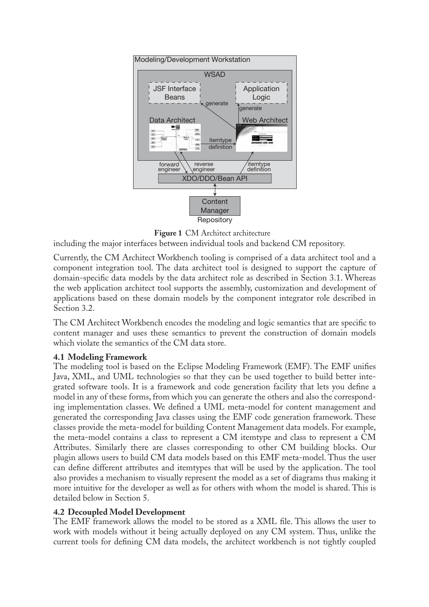

<span id="page-6-0"></span>Figure 1 CM Architect architecture

including the major interfaces between individual tools and backend CM repository.

Currently, the CM Architect Workbench tooling is comprised of a data architect tool and a component integration tool. The data architect tool is designed to support the capture of domain-specific data models by the data architect role as described in [Section 3.1](#page-4-0). Whereas the web application architect tool supports the assembly, customization and development of applications based on these domain models by the component integrator role described in [Section 3.2](#page-5-1).

The CM Architect Workbench encodes the modeling and logic semantics that are specific to content manager and uses these semantics to prevent the construction of domain models which violate the semantics of the CM data store.

#### **4.1 Modeling Framework**

The modeling tool is based on the Eclipse Modeling Framework (EMF). The EMF unifies Java, XML, and UML technologies so that they can be used together to build better integrated software tools. It is a framework and code generation facility that lets you define a model in any of these forms, from which you can generate the others and also the corresponding implementation classes. We defined a UML meta-model for content management and generated the corresponding Java classes using the EMF code generation framework. These classes provide the meta-model for building Content Management data models. For example, the meta-model contains a class to represent a CM itemtype and class to represent a CM Attributes. Similarly there are classes corresponding to other CM building blocks. Our plugin allows users to build CM data models based on this EMF meta-model. Thus the user can define different attributes and itemtypes that will be used by the application. The tool also provides a mechanism to visually represent the model as a set of diagrams thus making it more intuitive for the developer as well as for others with whom the model is shared. This is detailed below in [Section 5](#page-8-0).

#### **4.2 Decoupled Model Development**

The EMF framework allows the model to be stored as a XML file. This allows the user to work with models without it being actually deployed on any CM system. Thus, unlike the current tools for defining CM data models, the architect workbench is not tightly coupled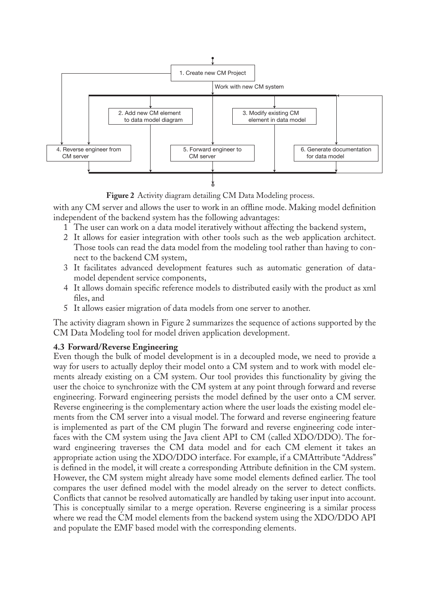

<span id="page-7-0"></span>**Figure 2** Activity diagram detailing CM Data Modeling process.

with any CM server and allows the user to work in an offline mode. Making model definition independent of the backend system has the following advantages:

- 1 The user can work on a data model iteratively without affecting the backend system,
- 2 It allows for easier integration with other tools such as the web application architect. Those tools can read the data model from the modeling tool rather than having to connect to the backend CM system,
- 3 It facilitates advanced development features such as automatic generation of datamodel dependent service components,
- 4 It allows domain specific reference models to distributed easily with the product as xml files, and
- 5 It allows easier migration of data models from one server to another.

The activity diagram shown in [Figure 2](#page-7-0) summarizes the sequence of actions supported by the CM Data Modeling tool for model driven application development.

#### **4.3 Forward/Reverse Engineering**

Even though the bulk of model development is in a decoupled mode, we need to provide a way for users to actually deploy their model onto a CM system and to work with model elements already existing on a CM system. Our tool provides this functionality by giving the user the choice to synchronize with the CM system at any point through forward and reverse engineering. Forward engineering persists the model defined by the user onto a CM server. Reverse engineering is the complementary action where the user loads the existing model elements from the CM server into a visual model. The forward and reverse engineering feature is implemented as part of the CM plugin The forward and reverse engineering code interfaces with the CM system using the Java client API to CM (called XDO/DDO). The forward engineering traverses the CM data model and for each CM element it takes an appropriate action using the XDO/DDO interface. For example, if a CMAttribute "Address" is defined in the model, it will create a corresponding Attribute definition in the CM system. However, the CM system might already have some model elements defined earlier. The tool compares the user defined model with the model already on the server to detect conflicts. Conflicts that cannot be resolved automatically are handled by taking user input into account. This is conceptually similar to a merge operation. Reverse engineering is a similar process where we read the CM model elements from the backend system using the XDO/DDO API and populate the EMF based model with the corresponding elements.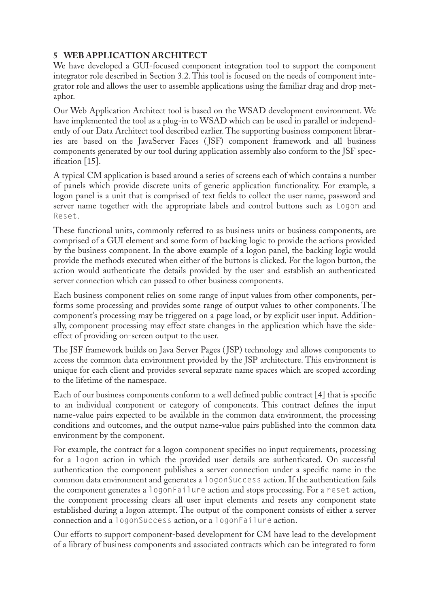# <span id="page-8-0"></span>**5 WEB APPLICATION ARCHITECT**

We have developed a GUI-focused component integration tool to support the component integrator role described in [Section 3.2](#page-5-1). This tool is focused on the needs of component integrator role and allows the user to assemble applications using the familiar drag and drop metaphor.

Our Web Application Architect tool is based on the WSAD development environment. We have implemented the tool as a plug-in to WSAD which can be used in parallel or independently of our Data Architect tool described earlier. The supporting business component libraries are based on the JavaServer Faces (JSF) component framework and all business components generated by our tool during application assembly also conform to the JSF specification [\[15\].](#page-13-1)

A typical CM application is based around a series of screens each of which contains a number of panels which provide discrete units of generic application functionality. For example, a logon panel is a unit that is comprised of text fields to collect the user name, password and server name together with the appropriate labels and control buttons such as Logon and Reset.

These functional units, commonly referred to as business units or business components, are comprised of a GUI element and some form of backing logic to provide the actions provided by the business component. In the above example of a logon panel, the backing logic would provide the methods executed when either of the buttons is clicked. For the logon button, the action would authenticate the details provided by the user and establish an authenticated server connection which can passed to other business components.

Each business component relies on some range of input values from other components, performs some processing and provides some range of output values to other components. The component's processing may be triggered on a page load, or by explicit user input. Additionally, component processing may effect state changes in the application which have the sideeffect of providing on-screen output to the user.

The JSF framework builds on Java Server Pages (JSP) technology and allows components to access the common data environment provided by the JSP architecture. This environment is unique for each client and provides several separate name spaces which are scoped according to the lifetime of the namespace.

Each of our business components conform to a well defined public contract [\[4\]](#page-12-0) that is specific to an individual component or category of components. This contract defines the input name-value pairs expected to be available in the common data environment, the processing conditions and outcomes, and the output name-value pairs published into the common data environment by the component.

For example, the contract for a logon component specifies no input requirements, processing for a logon action in which the provided user details are authenticated. On successful authentication the component publishes a server connection under a specific name in the common data environment and generates a logonSuccess action. If the authentication fails the component generates a logonFailure action and stops processing. For a reset action, the component processing clears all user input elements and resets any component state established during a logon attempt. The output of the component consists of either a server connection and a logonSuccess action, or a logonFailure action.

Our efforts to support component-based development for CM have lead to the development of a library of business components and associated contracts which can be integrated to form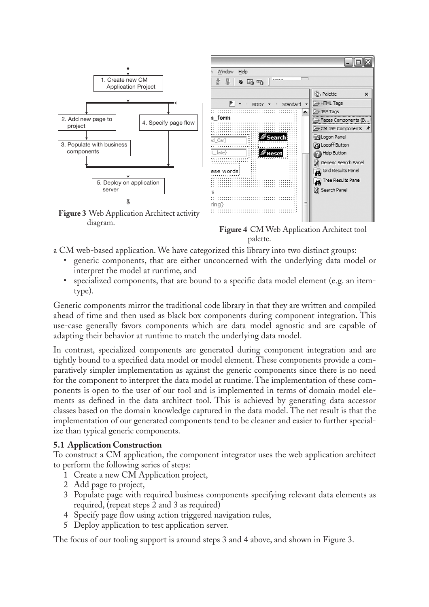

diagram.

**Figure 4** CM Web Application Architect tool palette.

- a CM web-based application. We have categorized this library into two distinct groups:
	- generic components, that are either unconcerned with the underlying data model or interpret the model at runtime, and
	- specialized components, that are bound to a specific data model element (e.g. an itemtype).

Generic components mirror the traditional code library in that they are written and compiled ahead of time and then used as black box components during component integration. This use-case generally favors components which are data model agnostic and are capable of adapting their behavior at runtime to match the underlying data model.

In contrast, specialized components are generated during component integration and are tightly bound to a specified data model or model element. These components provide a comparatively simpler implementation as against the generic components since there is no need for the component to interpret the data model at runtime. The implementation of these components is open to the user of our tool and is implemented in terms of domain model elements as defined in the data architect tool. This is achieved by generating data accessor classes based on the domain knowledge captured in the data model. The net result is that the implementation of our generated components tend to be cleaner and easier to further specialize than typical generic components.

#### **5.1 Application Construction**

To construct a CM application, the component integrator uses the web application architect to perform the following series of steps:

- 1 Create a new CM Application project,
- 2 Add page to project,
- 3 Populate page with required business components specifying relevant data elements as required, (repeat steps 2 and 3 as required)
- 4 Specify page flow using action triggered navigation rules,
- 5 Deploy application to test application server.

The focus of our tooling support is around steps 3 and 4 above, and shown in Figure 3.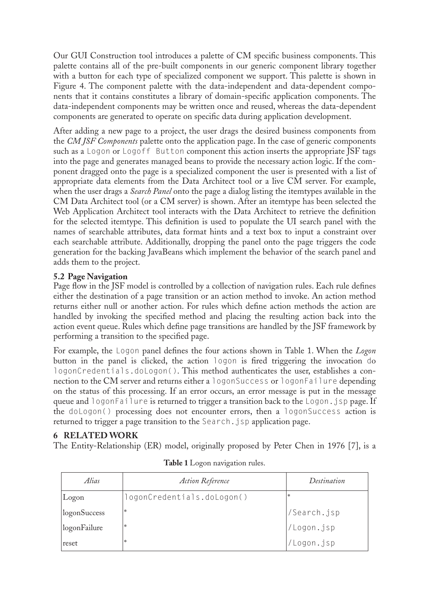Our GUI Construction tool introduces a palette of CM specific business components. This palette contains all of the pre-built components in our generic component library together with a button for each type of specialized component we support. This palette is shown in Figure 4. The component palette with the data-independent and data-dependent components that it contains constitutes a library of domain-specific application components. The data-independent components may be written once and reused, whereas the data-dependent components are generated to operate on specific data during application development.

After adding a new page to a project, the user drags the desired business components from the *CM JSF Components* palette onto the application page. In the case of generic components such as a Logon or Logoff Button component this action inserts the appropriate JSF tags into the page and generates managed beans to provide the necessary action logic. If the component dragged onto the page is a specialized component the user is presented with a list of appropriate data elements from the Data Architect tool or a live CM server. For example, when the user drags a *Search Panel* onto the page a dialog listing the itemtypes available in the CM Data Architect tool (or a CM server) is shown. After an itemtype has been selected the Web Application Architect tool interacts with the Data Architect to retrieve the definition for the selected itemtype. This definition is used to populate the UI search panel with the names of searchable attributes, data format hints and a text box to input a constraint over each searchable attribute. Additionally, dropping the panel onto the page triggers the code generation for the backing JavaBeans which implement the behavior of the search panel and adds them to the project.

# **5.2 Page Navigation**

Page flow in the JSF model is controlled by a collection of navigation rules. Each rule defines either the destination of a page transition or an action method to invoke. An action method returns either null or another action. For rules which define action methods the action are handled by invoking the specified method and placing the resulting action back into the action event queue. Rules which define page transitions are handled by the JSF framework by performing a transition to the specified page.

For example, the Logon panel defines the four actions shown in [Table 1](#page-10-1). When the *Logon* button in the panel is clicked, the action logon is fired triggering the invocation do logonCredentials.doLogon(). This method authenticates the user, establishes a connection to the CM server and returns either a logonSuccess or logonFailure depending on the status of this processing. If an error occurs, an error message is put in the message queue and logonFailure is returned to trigger a transition back to the Logon.jsp page. If the doLogon() processing does not encounter errors, then a logonSuccess action is returned to trigger a page transition to the Search.jsp application page.

# <span id="page-10-0"></span>**6 RELATED WORK**

<span id="page-10-1"></span>The Entity-Relationship (ER) model, originally proposed by Peter Chen in 1976 [\[7\]](#page-13-2), is a

| Alias        | <b>Action Reference</b>    | Destination |
|--------------|----------------------------|-------------|
| Logon        | logonCredentials.doLogon() | *           |
| logonSuccess | *                          | /Search.jsp |
| logonFailure | *                          | /Logon.jsp  |
| reset        | *                          | 'Logon.jsp  |

|  |  |  | Table 1 Logon navigation rules. |  |
|--|--|--|---------------------------------|--|
|--|--|--|---------------------------------|--|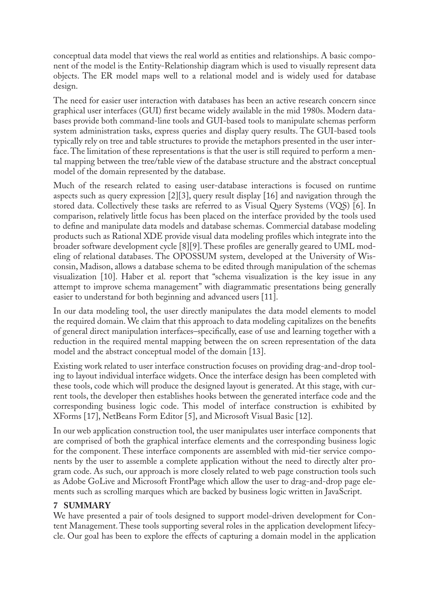conceptual data model that views the real world as entities and relationships. A basic component of the model is the Entity-Relationship diagram which is used to visually represent data objects. The ER model maps well to a relational model and is widely used for database design.

The need for easier user interaction with databases has been an active research concern since graphical user interfaces (GUI) first became widely available in the mid 1980s. Modern databases provide both command-line tools and GUI-based tools to manipulate schemas perform system administration tasks, express queries and display query results. The GUI-based tools typically rely on tree and table structures to provide the metaphors presented in the user interface. The limitation of these representations is that the user is still required to perform a mental mapping between the tree/table view of the database structure and the abstract conceptual model of the domain represented by the database.

Much of the research related to easing user-database interactions is focused on runtime aspects such as query expression [\[2\]](#page-12-1)[\[3\],](#page-12-2) query result display [\[16\]](#page-13-3) and navigation through the stored data. Collectively these tasks are referred to as Visual Query Systems (VQS) [\[6\].](#page-12-3) In comparison, relatively little focus has been placed on the interface provided by the tools used to define and manipulate data models and database schemas. Commercial database modeling products such as Rational XDE provide visual data modeling profiles which integrate into the broader software development cycle [\[8\]](#page-13-4)[\[9\]](#page-13-0). These profiles are generally geared to UML modeling of relational databases. The OPOSSUM system, developed at the University of Wisconsin, Madison, allows a database schema to be edited through manipulation of the schemas visualization [\[10\]](#page-13-5). Haber et al. report that "schema visualization is the key issue in any attempt to improve schema management" with diagrammatic presentations being generally easier to understand for both beginning and advanced users [\[11\].](#page-13-6)

In our data modeling tool, the user directly manipulates the data model elements to model the required domain. We claim that this approach to data modeling capitalizes on the benefits of general direct manipulation interfaces–specifically, ease of use and learning together with a reduction in the required mental mapping between the on screen representation of the data model and the abstract conceptual model of the domain [\[13\].](#page-13-7)

Existing work related to user interface construction focuses on providing drag-and-drop tooling to layout individual interface widgets. Once the interface design has been completed with these tools, code which will produce the designed layout is generated. At this stage, with current tools, the developer then establishes hooks between the generated interface code and the corresponding business logic code. This model of interface construction is exhibited by XForms [\[17\],](#page-13-8) NetBeans Form Editor [\[5\],](#page-12-4) and Microsoft Visual Basic [\[12\].](#page-13-9)

In our web application construction tool, the user manipulates user interface components that are comprised of both the graphical interface elements and the corresponding business logic for the component. These interface components are assembled with mid-tier service components by the user to assemble a complete application without the need to directly alter program code. As such, our approach is more closely related to web page construction tools such as Adobe GoLive and Microsoft FrontPage which allow the user to drag-and-drop page elements such as scrolling marques which are backed by business logic written in JavaScript.

#### <span id="page-11-0"></span>**7 SUMMARY**

We have presented a pair of tools designed to support model-driven development for Content Management. These tools supporting several roles in the application development lifecycle. Our goal has been to explore the effects of capturing a domain model in the application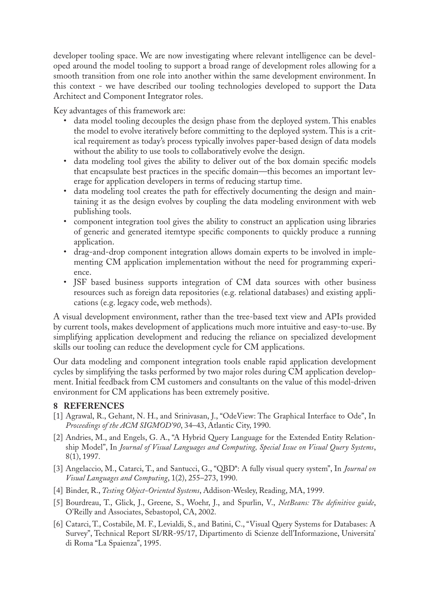developer tooling space. We are now investigating where relevant intelligence can be developed around the model tooling to support a broad range of development roles allowing for a smooth transition from one role into another within the same development environment. In this context - we have described our tooling technologies developed to support the Data Architect and Component Integrator roles.

Key advantages of this framework are:

- data model tooling decouples the design phase from the deployed system. This enables the model to evolve iteratively before committing to the deployed system. This is a critical requirement as today's process typically involves paper-based design of data models without the ability to use tools to collaboratively evolve the design.
- data modeling tool gives the ability to deliver out of the box domain specific models that encapsulate best practices in the specific domain—this becomes an important leverage for application developers in terms of reducing startup time.
- data modeling tool creates the path for effectively documenting the design and maintaining it as the design evolves by coupling the data modeling environment with web publishing tools.
- component integration tool gives the ability to construct an application using libraries of generic and generated itemtype specific components to quickly produce a running application.
- drag-and-drop component integration allows domain experts to be involved in implementing CM application implementation without the need for programming experience.
- JSF based business supports integration of CM data sources with other business resources such as foreign data repositories (e.g. relational databases) and existing applications (e.g. legacy code, web methods).

A visual development environment, rather than the tree-based text view and APIs provided by current tools, makes development of applications much more intuitive and easy-to-use. By simplifying application development and reducing the reliance on specialized development skills our tooling can reduce the development cycle for CM applications.

Our data modeling and component integration tools enable rapid application development cycles by simplifying the tasks performed by two major roles during CM application development. Initial feedback from CM customers and consultants on the value of this model-driven environment for CM applications has been extremely positive.

# **8 REFERENCES**

- [1] Agrawal, R., Gehant, N. H., and Srinivasan, J., "OdeView: The Graphical Interface to Ode", In *Proceedings of the ACM SIGMOD'90*, 34–43, Atlantic City, 1990.
- <span id="page-12-1"></span>[2] Andries, M., and Engels, G. A., "A Hybrid Query Language for the Extended Entity Relationship Model", In *Journal of Visual Languages and Computing, Special Issue on Visual Query Systems*, 8(1), 1997.
- <span id="page-12-2"></span>[3] Angelaccio, M., Catarci, T., and Santucci, G., "QBD\*: A fully visual query system", In *Journal on Visual Languages and Computing*, 1(2), 255–273, 1990.
- <span id="page-12-0"></span>[4] Binder, R., *Testing Object-Oriented Systems*, Addison-Wesley, Reading, MA, 1999.
- <span id="page-12-4"></span>[5] Bourdreau, T., Glick, J., Greene, S., Woehr, J., and Spurlin, V., *NetBeans: The definitive guide*, O'Reilly and Associates, Sebastopol, CA, 2002.
- <span id="page-12-3"></span>[6] Catarci, T., Costabile, M. F., Levialdi, S., and Batini, C., "Visual Query Systems for Databases: A Survey", Technical Report SI/RR-95/17, Dipartimento di Scienze dell'Informazione, Universita' di Roma "La Spaienza", 1995.